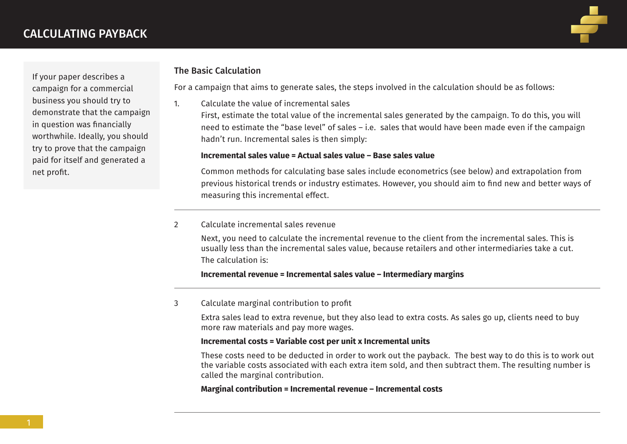

If your paper describes a campaign for a commercial business you should try to demonstrate that the campaign in question was financially worthwhile. Ideally, you should try to prove that the campaign paid for itself and generated a net profit.

# The Basic Calculation

For a campaign that aims to generate sales, the steps involved in the calculation should be as follows:

1. Calculate the value of incremental sales

First, estimate the total value of the incremental sales generated by the campaign. To do this, you will need to estimate the "base level" of sales – i.e. sales that would have been made even if the campaign hadn't run. Incremental sales is then simply:

### **Incremental sales value = Actual sales value – Base sales value**

Common methods for calculating base sales include econometrics (see below) and extrapolation from previous historical trends or industry estimates. However, you should aim to find new and better ways of measuring this incremental effect.

2 Calculate incremental sales revenue

 Next, you need to calculate the incremental revenue to the client from the incremental sales. This is usually less than the incremental sales value, because retailers and other intermediaries take a cut. The calculation is:

# **Incremental revenue = Incremental sales value – Intermediary margins**

3 Calculate marginal contribution to profit

 Extra sales lead to extra revenue, but they also lead to extra costs. As sales go up, clients need to buy more raw materials and pay more wages.

## **Incremental costs = Variable cost per unit x Incremental units**

 These costs need to be deducted in order to work out the payback. The best way to do this is to work out the variable costs associated with each extra item sold, and then subtract them. The resulting number is called the marginal contribution.

#### **Marginal contribution = Incremental revenue – Incremental costs**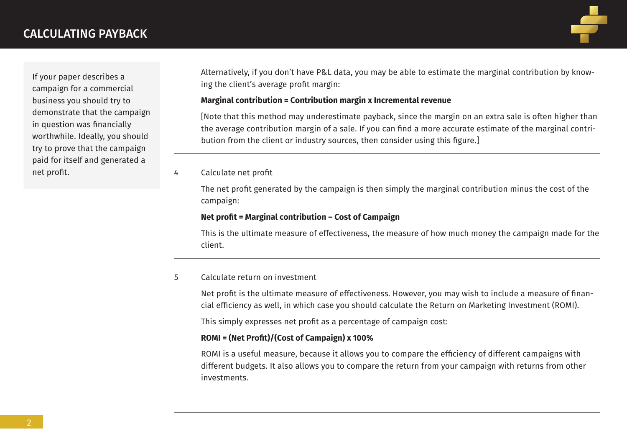If your paper describes a campaign for a commercial business you should try to demonstrate that the campaign in question was financially worthwhile. Ideally, you should try to prove that the campaign paid for itself and generated a net profit.



Alternatively, if you don't have P&L data, you may be able to estimate the marginal contribution by knowing the client's average profit margin:

#### **Marginal contribution = Contribution margin x Incremental revenue**

 [Note that this method may underestimate payback, since the margin on an extra sale is often higher than the average contribution margin of a sale. If you can find a more accurate estimate of the marginal contribution from the client or industry sources, then consider using this figure.]

4 Calculate net profit

 The net profit generated by the campaign is then simply the marginal contribution minus the cost of the campaign:

### **Net profit = Marginal contribution – Cost of Campaign**

 This is the ultimate measure of effectiveness, the measure of how much money the campaign made for the client.

5 Calculate return on investment

 Net profit is the ultimate measure of effectiveness. However, you may wish to include a measure of financial efficiency as well, in which case you should calculate the Return on Marketing Investment (ROMI).

This simply expresses net profit as a percentage of campaign cost:

## **ROMI = (Net Profit)/(Cost of Campaign) x 100%**

 ROMI is a useful measure, because it allows you to compare the efficiency of different campaigns with different budgets. It also allows you to compare the return from your campaign with returns from other investments.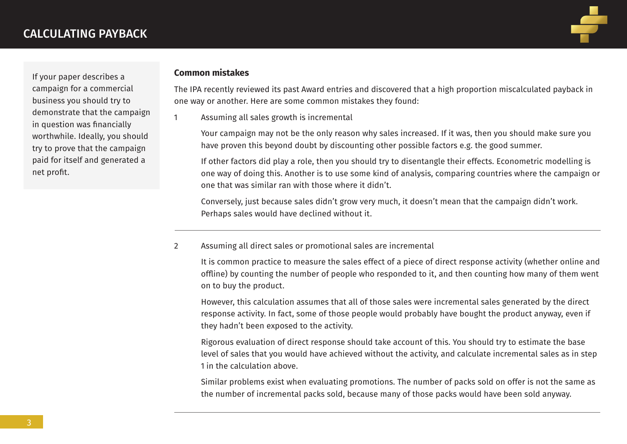# CALCULATING PAYBACK

If your paper describes a campaign for a commercial business you should try to demonstrate that the campaign in question was financially worthwhile. Ideally, you should try to prove that the campaign paid for itself and generated a net profit.

### **Common mistakes**

The IPA recently reviewed its past Award entries and discovered that a high proportion miscalculated payback in one way or another. Here are some common mistakes they found:

1 Assuming all sales growth is incremental

 Your campaign may not be the only reason why sales increased. If it was, then you should make sure you have proven this beyond doubt by discounting other possible factors e.g. the good summer.

 If other factors did play a role, then you should try to disentangle their effects. Econometric modelling is one way of doing this. Another is to use some kind of analysis, comparing countries where the campaign or one that was similar ran with those where it didn't.

 Conversely, just because sales didn't grow very much, it doesn't mean that the campaign didn't work. Perhaps sales would have declined without it.

2 Assuming all direct sales or promotional sales are incremental

 It is common practice to measure the sales effect of a piece of direct response activity (whether online and offline) by counting the number of people who responded to it, and then counting how many of them went on to buy the product.

 However, this calculation assumes that all of those sales were incremental sales generated by the direct response activity. In fact, some of those people would probably have bought the product anyway, even if they hadn't been exposed to the activity.

 Rigorous evaluation of direct response should take account of this. You should try to estimate the base level of sales that you would have achieved without the activity, and calculate incremental sales as in step 1 in the calculation above.

 Similar problems exist when evaluating promotions. The number of packs sold on offer is not the same as the number of incremental packs sold, because many of those packs would have been sold anyway.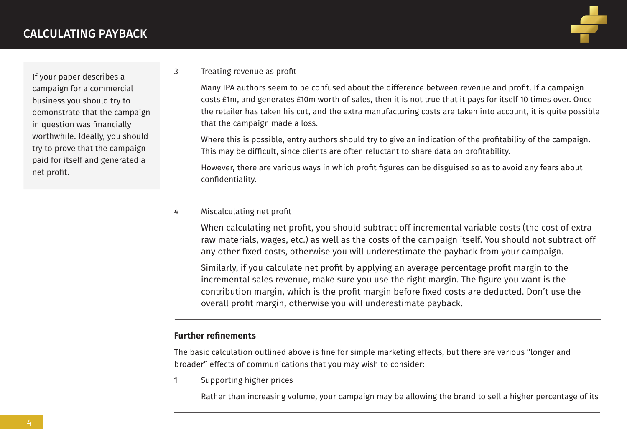If your paper describes a campaign for a commercial business you should try to demonstrate that the campaign in question was financially worthwhile. Ideally, you should try to prove that the campaign paid for itself and generated a net profit.

3 Treating revenue as profit

 Many IPA authors seem to be confused about the difference between revenue and profit. If a campaign costs £1m, and generates £10m worth of sales, then it is not true that it pays for itself 10 times over. Once the retailer has taken his cut, and the extra manufacturing costs are taken into account, it is quite possible that the campaign made a loss.

 Where this is possible, entry authors should try to give an indication of the profitability of the campaign. This may be difficult, since clients are often reluctant to share data on profitability.

 However, there are various ways in which profit figures can be disguised so as to avoid any fears about confidentiality.

4 Miscalculating net profit

 When calculating net profit, you should subtract off incremental variable costs (the cost of extra raw materials, wages, etc.) as well as the costs of the campaign itself. You should not subtract off any other fixed costs, otherwise you will underestimate the payback from your campaign.

 Similarly, if you calculate net profit by applying an average percentage profit margin to the incremental sales revenue, make sure you use the right margin. The figure you want is the contribution margin, which is the profit margin before fixed costs are deducted. Don't use the overall profit margin, otherwise you will underestimate payback.

## **Further refinements**

The basic calculation outlined above is fine for simple marketing effects, but there are various "longer and broader" effects of communications that you may wish to consider:

1 Supporting higher prices

Rather than increasing volume, your campaign may be allowing the brand to sell a higher percentage of its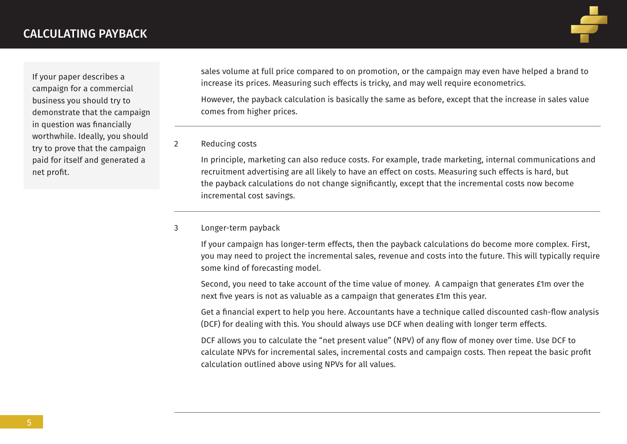# CALCULATING PAYBACK

If your paper describes a campaign for a commercial business you should try to demonstrate that the campaign in question was financially worthwhile. Ideally, you should try to prove that the campaign paid for itself and generated a net profit.

sales volume at full price compared to on promotion, or the campaign may even have helped a brand to increase its prices. Measuring such effects is tricky, and may well require econometrics.

 However, the payback calculation is basically the same as before, except that the increase in sales value comes from higher prices.

2 Reducing costs

In principle, marketing can also reduce costs. For example, trade marketing, internal communications and recruitment advertising are all likely to have an effect on costs. Measuring such effects is hard, but the payback calculations do not change significantly, except that the incremental costs now become incremental cost savings.

#### 3 Longer-term payback

 If your campaign has longer-term effects, then the payback calculations do become more complex. First, you may need to project the incremental sales, revenue and costs into the future. This will typically require some kind of forecasting model.

 Second, you need to take account of the time value of money. A campaign that generates £1m over the next five years is not as valuable as a campaign that generates £1m this year.

 Get a financial expert to help you here. Accountants have a technique called discounted cash-flow analysis (DCF) for dealing with this. You should always use DCF when dealing with longer term effects.

 DCF allows you to calculate the "net present value" (NPV) of any flow of money over time. Use DCF to calculate NPVs for incremental sales, incremental costs and campaign costs. Then repeat the basic profit calculation outlined above using NPVs for all values.